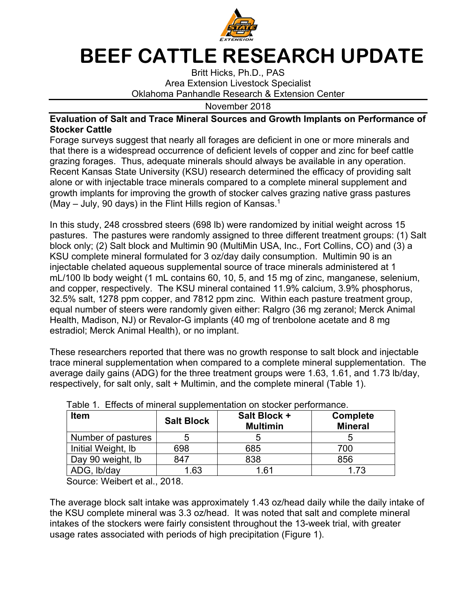

## **BEEF CATTLE RESEARCH UPDATE**

Britt Hicks, Ph.D., PAS Area Extension Livestock Specialist Oklahoma Panhandle Research & Extension Center

November 2018

## **Evaluation of Salt and Trace Mineral Sources and Growth Implants on Performance of Stocker Cattle**

Forage surveys suggest that nearly all forages are deficient in one or more minerals and that there is a widespread occurrence of deficient levels of copper and zinc for beef cattle grazing forages. Thus, adequate minerals should always be available in any operation. Recent Kansas State University (KSU) research determined the efficacy of providing salt alone or with injectable trace minerals compared to a complete mineral supplement and growth implants for improving the growth of stocker calves grazing native grass pastures (May – July, 90 days) in the Flint Hills region of Kansas.1

In this study, 248 crossbred steers (698 lb) were randomized by initial weight across 15 pastures. The pastures were randomly assigned to three different treatment groups: (1) Salt block only; (2) Salt block and Multimin 90 (MultiMin USA, Inc., Fort Collins, CO) and (3) a KSU complete mineral formulated for 3 oz/day daily consumption. Multimin 90 is an injectable chelated aqueous supplemental source of trace minerals administered at 1 mL/100 lb body weight (1 mL contains 60, 10, 5, and 15 mg of zinc, manganese, selenium, and copper, respectively. The KSU mineral contained 11.9% calcium, 3.9% phosphorus, 32.5% salt, 1278 ppm copper, and 7812 ppm zinc. Within each pasture treatment group, equal number of steers were randomly given either: Ralgro (36 mg zeranol; Merck Animal Health, Madison, NJ) or Revalor-G implants (40 mg of trenbolone acetate and 8 mg estradiol; Merck Animal Health), or no implant.

These researchers reported that there was no growth response to salt block and injectable trace mineral supplementation when compared to a complete mineral supplementation. The average daily gains (ADG) for the three treatment groups were 1.63, 1.61, and 1.73 lb/day, respectively, for salt only, salt + Multimin, and the complete mineral (Table 1).

| <b>Item</b>        | <b>Salt Block</b> | Salt Block +<br><b>Multimin</b> | <b>Complete</b><br><b>Mineral</b> |
|--------------------|-------------------|---------------------------------|-----------------------------------|
| Number of pastures |                   |                                 |                                   |
| Initial Weight, Ib | 698               | 685                             | 700                               |
| Day 90 weight, Ib  | 847               | 838                             | 856                               |
| ADG, Ib/day        | 1.63              | 1.61                            | 1.73                              |

Table 1. Effects of mineral supplementation on stocker performance.

Source: Weibert et al., 2018.

The average block salt intake was approximately 1.43 oz/head daily while the daily intake of the KSU complete mineral was 3.3 oz/head. It was noted that salt and complete mineral intakes of the stockers were fairly consistent throughout the 13-week trial, with greater usage rates associated with periods of high precipitation (Figure 1).